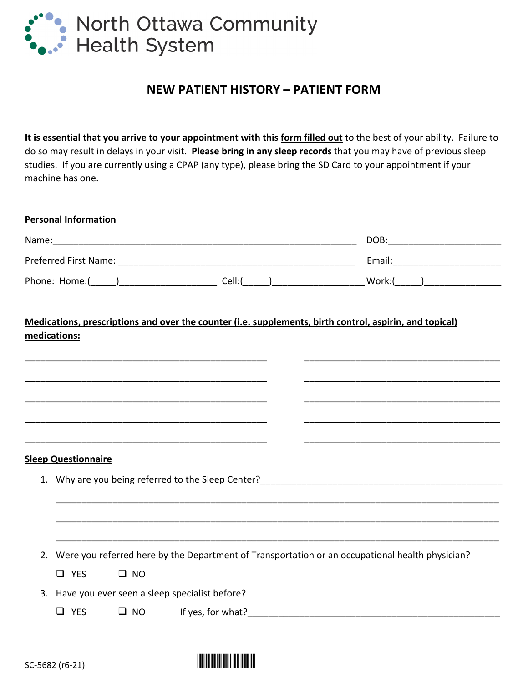

## **NEW PATIENT HISTORY – PATIENT FORM**

**It is essential that you arrive to your appointment with this form filled out** to the best of your ability. Failure to do so may result in delays in your visit. **Please bring in any sleep records** that you may have of previous sleep studies. If you are currently using a CPAP (any type), please bring the SD Card to your appointment if your machine has one.

|                            |              | Phone: Home:(_____)__________________________Cell:(_____)_______________________Work:(_____)__________________ |  |  |
|----------------------------|--------------|----------------------------------------------------------------------------------------------------------------|--|--|
| medications:               |              | Medications, prescriptions and over the counter (i.e. supplements, birth control, aspirin, and topical)        |  |  |
|                            |              |                                                                                                                |  |  |
|                            |              |                                                                                                                |  |  |
|                            |              |                                                                                                                |  |  |
| <b>Sleep Questionnaire</b> |              |                                                                                                                |  |  |
|                            |              |                                                                                                                |  |  |
|                            |              |                                                                                                                |  |  |
|                            |              |                                                                                                                |  |  |
|                            |              | 2. Were you referred here by the Department of Transportation or an occupational health physician?             |  |  |
| $\Box$ YES                 | $\square$ NO |                                                                                                                |  |  |
|                            |              | 3. Have you ever seen a sleep specialist before?                                                               |  |  |

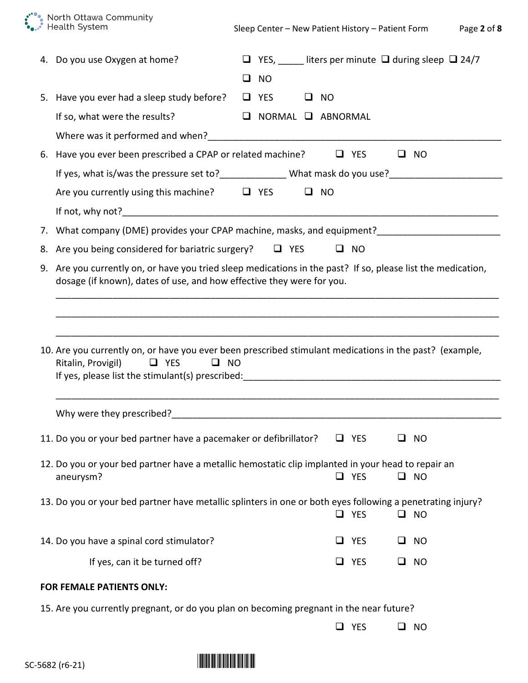\*\*\*\*\*\* North Ottawa Community<br>\*\*\*\*\* Health System

| 4. Do you use Oxygen at home?                                                                                                                                                         |                      |                               |        | $\Box$ YES, _____ liters per minute $\Box$ during sleep $\Box$ 24/7 |
|---------------------------------------------------------------------------------------------------------------------------------------------------------------------------------------|----------------------|-------------------------------|--------|---------------------------------------------------------------------|
|                                                                                                                                                                                       | $\square$ NO         |                               |        |                                                                     |
| 5. Have you ever had a sleep study before?                                                                                                                                            | $\Box$ YES $\Box$ NO |                               |        |                                                                     |
| If so, what were the results?                                                                                                                                                         |                      | $\Box$ NORMAL $\Box$ ABNORMAL |        |                                                                     |
|                                                                                                                                                                                       |                      |                               |        |                                                                     |
| 6. Have you ever been prescribed a CPAP or related machine?                                                                                                                           |                      | $\Box$ YES                    |        | $\square$ NO                                                        |
| If yes, what is/was the pressure set to?________________What mask do you use?_______________________                                                                                  |                      |                               |        |                                                                     |
| Are you currently using this machine? $\Box$ YES $\Box$ NO                                                                                                                            |                      |                               |        |                                                                     |
|                                                                                                                                                                                       |                      |                               |        |                                                                     |
| 7. What company (DME) provides your CPAP machine, masks, and equipment?_____________________________                                                                                  |                      |                               |        |                                                                     |
| 8. Are you being considered for bariatric surgery? $\Box$ YES                                                                                                                         |                      | $\square$ NO                  |        |                                                                     |
| 9. Are you currently on, or have you tried sleep medications in the past? If so, please list the medication,<br>dosage (if known), dates of use, and how effective they were for you. |                      |                               |        |                                                                     |
| 10. Are you currently on, or have you ever been prescribed stimulant medications in the past? (example,<br>Ritalin, Provigil)<br>$\Box$ YES<br>$\Box$ NO                              |                      |                               |        |                                                                     |
| Why were they prescribed? Why were they prescribed?                                                                                                                                   |                      |                               |        |                                                                     |
| 11. Do you or your bed partner have a pacemaker or defibrillator? $\Box$ YES $\Box$ NO                                                                                                |                      |                               |        |                                                                     |
| 12. Do you or your bed partner have a metallic hemostatic clip implanted in your head to repair an<br>aneurysm?                                                                       |                      | $\Box$ YES                    |        | $\square$ NO                                                        |
| 13. Do you or your bed partner have metallic splinters in one or both eyes following a penetrating injury?                                                                            |                      | $\Box$ YES                    |        | $\square$ NO                                                        |
| 14. Do you have a spinal cord stimulator?                                                                                                                                             |                      | $\Box$ YES                    | $\Box$ | <b>NO</b>                                                           |
| If yes, can it be turned off?                                                                                                                                                         |                      | $\Box$ YES                    |        | $\square$ NO                                                        |
| FOR FEMALE PATIENTS ONLY:                                                                                                                                                             |                      |                               |        |                                                                     |
| 15. Are you currently pregnant, or do you plan on becoming pregnant in the near future?                                                                                               |                      |                               |        |                                                                     |
|                                                                                                                                                                                       |                      | $\Box$ YES                    |        | $\square$ NO                                                        |

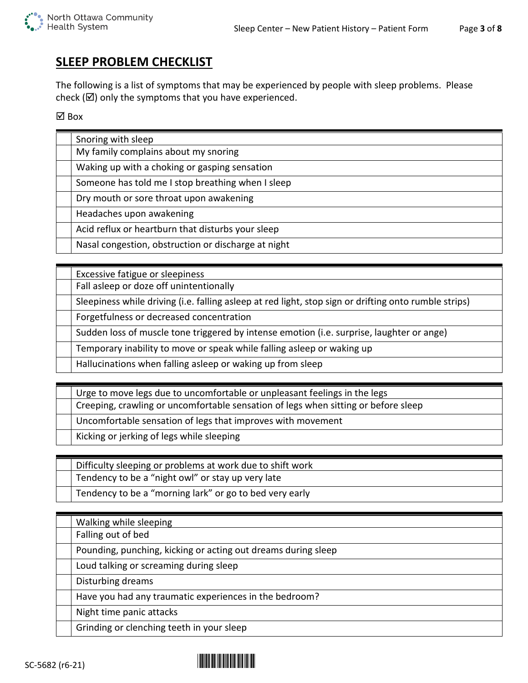# **SLEEP PROBLEM CHECKLIST**

The following is a list of symptoms that may be experienced by people with sleep problems. Please check ( $\boxtimes$ ) only the symptoms that you have experienced.

⊠ Box

| Snoring with sleep                                  |
|-----------------------------------------------------|
| My family complains about my snoring                |
| Waking up with a choking or gasping sensation       |
| Someone has told me I stop breathing when I sleep   |
| Dry mouth or sore throat upon awakening             |
| Headaches upon awakening                            |
| Acid reflux or heartburn that disturbs your sleep   |
| Nasal congestion, obstruction or discharge at night |

| Excessive fatigue or sleepiness                                                                       |
|-------------------------------------------------------------------------------------------------------|
| Fall asleep or doze off unintentionally                                                               |
| Sleepiness while driving (i.e. falling asleep at red light, stop sign or drifting onto rumble strips) |
| Forgetfulness or decreased concentration                                                              |
| Sudden loss of muscle tone triggered by intense emotion (i.e. surprise, laughter or ange)             |
| Temporary inability to move or speak while falling asleep or waking up                                |
| Hallucinations when falling asleep or waking up from sleep                                            |

| Urge to move legs due to uncomfortable or unpleasant feelings in the legs          |
|------------------------------------------------------------------------------------|
| Creeping, crawling or uncomfortable sensation of legs when sitting or before sleep |
| Uncomfortable sensation of legs that improves with movement                        |
| Kicking or jerking of legs while sleeping                                          |

Difficulty sleeping or problems at work due to shift work

Tendency to be a "night owl" or stay up very late

Tendency to be a "morning lark" or go to bed very early

| Walking while sleeping                                        |
|---------------------------------------------------------------|
| Falling out of bed                                            |
| Pounding, punching, kicking or acting out dreams during sleep |
| Loud talking or screaming during sleep                        |
| Disturbing dreams                                             |
| Have you had any traumatic experiences in the bedroom?        |
| Night time panic attacks                                      |
| Grinding or clenching teeth in your sleep                     |

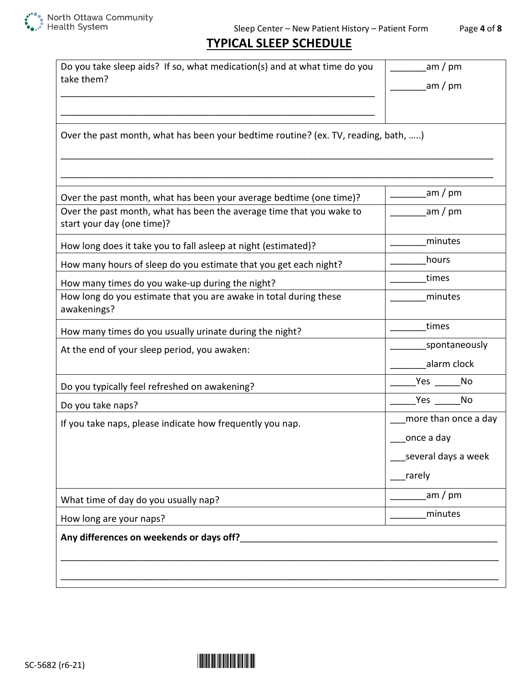

# **TYPICAL SLEEP SCHEDULE**

| Do you take sleep aids? If so, what medication(s) and at what time do you<br>take them?                                                                                   | am / pm<br>am / pm           |
|---------------------------------------------------------------------------------------------------------------------------------------------------------------------------|------------------------------|
|                                                                                                                                                                           |                              |
| Over the past month, what has been your bedtime routine? (ex. TV, reading, bath, )                                                                                        |                              |
|                                                                                                                                                                           | am / pm                      |
| Over the past month, what has been your average bedtime (one time)?<br>Over the past month, what has been the average time that you wake to<br>start your day (one time)? | am / pm                      |
| How long does it take you to fall asleep at night (estimated)?                                                                                                            | minutes                      |
| How many hours of sleep do you estimate that you get each night?                                                                                                          | hours                        |
| How many times do you wake-up during the night?                                                                                                                           | times                        |
| How long do you estimate that you are awake in total during these<br>awakenings?                                                                                          | minutes                      |
| How many times do you usually urinate during the night?                                                                                                                   | times                        |
| At the end of your sleep period, you awaken:                                                                                                                              | spontaneously<br>alarm clock |
| Do you typically feel refreshed on awakening?                                                                                                                             | Yes<br>No                    |
| Do you take naps?                                                                                                                                                         | Yes $\frac{1}{2}$<br>No      |
| If you take naps, please indicate how frequently you nap.                                                                                                                 | more than once a day         |
|                                                                                                                                                                           | once a day                   |
|                                                                                                                                                                           | several days a week          |
|                                                                                                                                                                           | rarely                       |
| What time of day do you usually nap?                                                                                                                                      | _am / pm                     |
| How long are your naps?                                                                                                                                                   | minutes                      |
| Any differences on weekends or days off?                                                                                                                                  |                              |
|                                                                                                                                                                           |                              |
|                                                                                                                                                                           |                              |

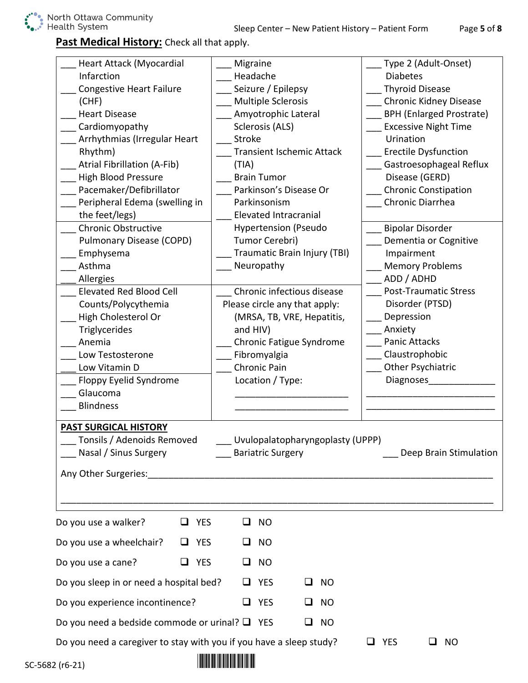### **Past Medical History:** Check all that apply.

| Heart Attack (Myocardial<br>Infarction<br><b>Congestive Heart Failure</b><br>(CHF)<br><b>Heart Disease</b><br>Cardiomyopathy<br>Arrhythmias (Irregular Heart<br>Rhythm)<br><b>Atrial Fibrillation (A-Fib)</b><br><b>High Blood Pressure</b><br>Pacemaker/Defibrillator<br>Peripheral Edema (swelling in<br>the feet/legs)<br><b>Chronic Obstructive</b><br>Pulmonary Disease (COPD)<br>Emphysema<br>Asthma<br>Allergies<br><b>Elevated Red Blood Cell</b><br>Counts/Polycythemia<br>High Cholesterol Or<br>Triglycerides<br>Anemia<br>Low Testosterone<br>Low Vitamin D<br>Floppy Eyelid Syndrome<br>Glaucoma | Migraine<br>Headache<br>Seizure / Epilepsy<br><b>Multiple Sclerosis</b><br>Amyotrophic Lateral<br>Sclerosis (ALS)<br><b>Stroke</b><br><b>Transient Ischemic Attack</b><br>(TIA)<br><b>Brain Tumor</b><br>Parkinson's Disease Or<br>Parkinsonism<br><b>Elevated Intracranial</b><br><b>Hypertension (Pseudo</b><br>Tumor Cerebri)<br>Traumatic Brain Injury (TBI)<br>Neuropathy<br>Chronic infectious disease<br>Please circle any that apply:<br>(MRSA, TB, VRE, Hepatitis,<br>and HIV)<br><b>Chronic Fatigue Syndrome</b><br>Fibromyalgia<br>Chronic Pain<br>Location / Type: | Type 2 (Adult-Onset)<br><b>Diabetes</b><br><b>Thyroid Disease</b><br>Chronic Kidney Disease<br><b>BPH (Enlarged Prostrate)</b><br><b>Excessive Night Time</b><br>Urination<br><b>Erectile Dysfunction</b><br>Gastroesophageal Reflux<br>Disease (GERD)<br><b>Chronic Constipation</b><br>Chronic Diarrhea<br><b>Bipolar Disorder</b><br>Dementia or Cognitive<br>Impairment<br><b>Memory Problems</b><br>ADD / ADHD<br><b>Post-Traumatic Stress</b><br>Disorder (PTSD)<br>Depression<br>Anxiety<br><b>Panic Attacks</b><br>Claustrophobic<br>Other Psychiatric<br><b>Diagnoses</b> |
|---------------------------------------------------------------------------------------------------------------------------------------------------------------------------------------------------------------------------------------------------------------------------------------------------------------------------------------------------------------------------------------------------------------------------------------------------------------------------------------------------------------------------------------------------------------------------------------------------------------|--------------------------------------------------------------------------------------------------------------------------------------------------------------------------------------------------------------------------------------------------------------------------------------------------------------------------------------------------------------------------------------------------------------------------------------------------------------------------------------------------------------------------------------------------------------------------------|------------------------------------------------------------------------------------------------------------------------------------------------------------------------------------------------------------------------------------------------------------------------------------------------------------------------------------------------------------------------------------------------------------------------------------------------------------------------------------------------------------------------------------------------------------------------------------|
| <b>Blindness</b><br><b>PAST SURGICAL HISTORY</b><br>Tonsils / Adenoids Removed<br>Nasal / Sinus Surgery                                                                                                                                                                                                                                                                                                                                                                                                                                                                                                       | Uvulopalatopharyngoplasty (UPPP)<br>___ Bariatric Surgery                                                                                                                                                                                                                                                                                                                                                                                                                                                                                                                      | Deep Brain Stimulation                                                                                                                                                                                                                                                                                                                                                                                                                                                                                                                                                             |
| <b>YES</b><br>Do you use a walker?<br>⊔                                                                                                                                                                                                                                                                                                                                                                                                                                                                                                                                                                       | <b>NO</b><br>⊔                                                                                                                                                                                                                                                                                                                                                                                                                                                                                                                                                                 |                                                                                                                                                                                                                                                                                                                                                                                                                                                                                                                                                                                    |
| Do you use a wheelchair?<br><b>YES</b><br>$\Box$                                                                                                                                                                                                                                                                                                                                                                                                                                                                                                                                                              | <b>NO</b><br>ப                                                                                                                                                                                                                                                                                                                                                                                                                                                                                                                                                                 |                                                                                                                                                                                                                                                                                                                                                                                                                                                                                                                                                                                    |
| Do you use a cane?<br><b>YES</b><br>□                                                                                                                                                                                                                                                                                                                                                                                                                                                                                                                                                                         | <b>NO</b><br>ப                                                                                                                                                                                                                                                                                                                                                                                                                                                                                                                                                                 |                                                                                                                                                                                                                                                                                                                                                                                                                                                                                                                                                                                    |
| Do you sleep in or need a hospital bed?                                                                                                                                                                                                                                                                                                                                                                                                                                                                                                                                                                       | $\Box$ YES<br><b>NO</b><br>ப                                                                                                                                                                                                                                                                                                                                                                                                                                                                                                                                                   |                                                                                                                                                                                                                                                                                                                                                                                                                                                                                                                                                                                    |
|                                                                                                                                                                                                                                                                                                                                                                                                                                                                                                                                                                                                               | $\Box$ YES<br>$\square$ NO                                                                                                                                                                                                                                                                                                                                                                                                                                                                                                                                                     |                                                                                                                                                                                                                                                                                                                                                                                                                                                                                                                                                                                    |
| Do you experience incontinence?                                                                                                                                                                                                                                                                                                                                                                                                                                                                                                                                                                               |                                                                                                                                                                                                                                                                                                                                                                                                                                                                                                                                                                                |                                                                                                                                                                                                                                                                                                                                                                                                                                                                                                                                                                                    |
| Do you need a bedside commode or urinal? $\Box$ YES                                                                                                                                                                                                                                                                                                                                                                                                                                                                                                                                                           | $\square$ NO                                                                                                                                                                                                                                                                                                                                                                                                                                                                                                                                                                   |                                                                                                                                                                                                                                                                                                                                                                                                                                                                                                                                                                                    |
| Do you need a caregiver to stay with you if you have a sleep study?                                                                                                                                                                                                                                                                                                                                                                                                                                                                                                                                           | <u> 1 10011010 1001 1101 01110 01101 10110 1101 1001</u>                                                                                                                                                                                                                                                                                                                                                                                                                                                                                                                       | <b>YES</b><br><b>NO</b>                                                                                                                                                                                                                                                                                                                                                                                                                                                                                                                                                            |

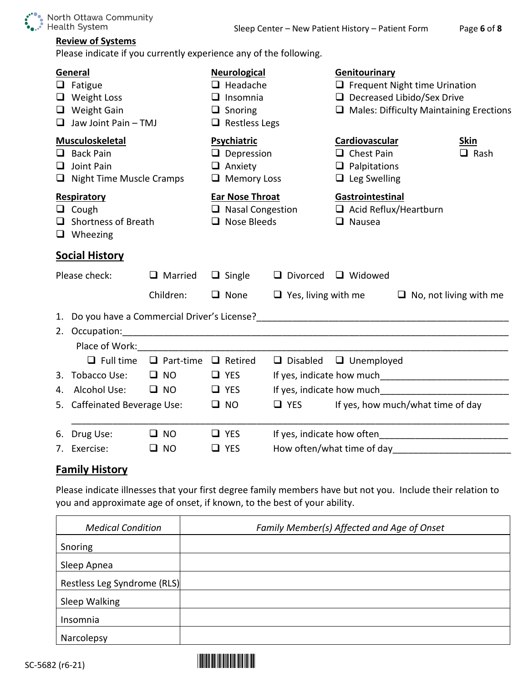

### **Review of Systems**

Please indicate if you currently experience any of the following.

|    | General<br>$\Box$ Fatigue<br>$\Box$ Weight Loss<br>$\Box$ Weight Gain<br>$\Box$ Jaw Joint Pain - TMJ |                                 | <b>Neurological</b><br>$\Box$ Headache<br>$\Box$ Insomnia<br>$\Box$ Snoring<br>$\Box$ Restless Legs |                            | Genitourinary<br>$\Box$ Frequent Night time Urination<br>$\Box$ Decreased Libido/Sex Drive<br>$\Box$ Males: Difficulty Maintaining Erections |                                   |  |  |
|----|------------------------------------------------------------------------------------------------------|---------------------------------|-----------------------------------------------------------------------------------------------------|----------------------------|----------------------------------------------------------------------------------------------------------------------------------------------|-----------------------------------|--|--|
|    | <b>Musculoskeletal</b><br>$\Box$ Back Pain<br>$\Box$ Joint Pain<br>$\Box$ Night Time Muscle Cramps   |                                 | Psychiatric<br>$\Box$ Depression<br>$\Box$ Anxiety<br>$\Box$ Memory Loss                            |                            | <b>Cardiovascular</b><br>$\Box$ Chest Pain<br>$\Box$ Palpitations<br>$\Box$ Leg Swelling                                                     | <b>Skin</b><br>$\Box$ Rash        |  |  |
|    | Respiratory<br>$\Box$ Cough<br>$\Box$ Shortness of Breath<br>$\Box$ Wheezing                         |                                 | Ear Nose Throat<br>$\Box$ Nasal Congestion<br>$\Box$ Nose Bleeds                                    |                            | Gastrointestinal<br>$\Box$ Acid Reflux/Heartburn<br>$\Box$ Nausea                                                                            |                                   |  |  |
|    | <b>Social History</b>                                                                                |                                 |                                                                                                     |                            |                                                                                                                                              |                                   |  |  |
|    | Please check:                                                                                        | $\Box$ Married                  | $\Box$ Single                                                                                       |                            | $\Box$ Divorced $\Box$ Widowed                                                                                                               |                                   |  |  |
|    |                                                                                                      | Children:                       | $\Box$ None                                                                                         | $\Box$ Yes, living with me |                                                                                                                                              | $\Box$ No, not living with me     |  |  |
|    | 2. Occupation:<br>Place of Work: The contract of Work:                                               |                                 |                                                                                                     |                            |                                                                                                                                              |                                   |  |  |
|    | $\Box$ Full time                                                                                     | $\Box$ Part-time $\Box$ Retired |                                                                                                     |                            | $\Box$ Disabled $\Box$ Unemployed                                                                                                            |                                   |  |  |
|    | 3. Tobacco Use:                                                                                      | $\square$ NO                    | $\Box$ YES                                                                                          |                            |                                                                                                                                              |                                   |  |  |
| 4. | Alcohol Use:                                                                                         | $\square$ NO                    | $\Box$ YES                                                                                          |                            |                                                                                                                                              |                                   |  |  |
|    | 5. Caffeinated Beverage Use:                                                                         |                                 | $\square$ NO                                                                                        | $\Box$ YES                 |                                                                                                                                              | If yes, how much/what time of day |  |  |
|    | 6. Drug Use:                                                                                         | $\square$ NO                    | $\Box$ YES                                                                                          |                            |                                                                                                                                              |                                   |  |  |
| 7. | Exercise:                                                                                            | $\square$ NO                    | $\Box$ YES                                                                                          |                            |                                                                                                                                              |                                   |  |  |
|    | <b>Family History</b>                                                                                |                                 |                                                                                                     |                            |                                                                                                                                              |                                   |  |  |

Please indicate illnesses that your first degree family members have but not you. Include their relation to you and approximate age of onset, if known, to the best of your ability.

| <b>Medical Condition</b>    | Family Member(s) Affected and Age of Onset |
|-----------------------------|--------------------------------------------|
| Snoring                     |                                            |
| Sleep Apnea                 |                                            |
| Restless Leg Syndrome (RLS) |                                            |
| Sleep Walking               |                                            |
| Insomnia                    |                                            |
| Narcolepsy                  |                                            |

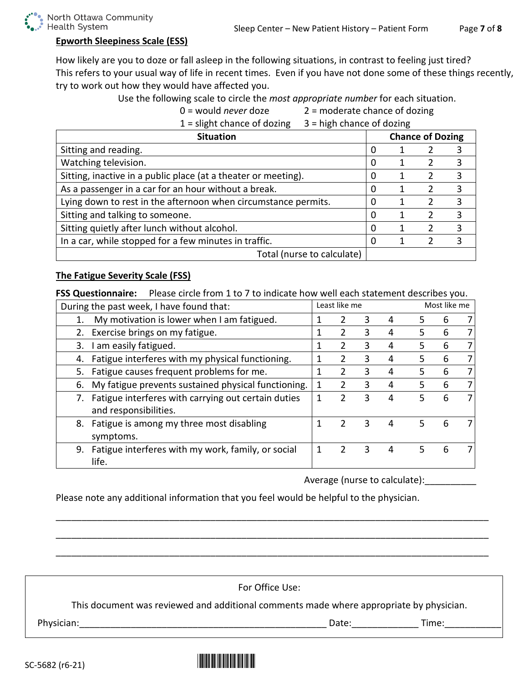

#### **Epworth Sleepiness Scale (ESS)**

How likely are you to doze or fall asleep in the following situations, in contrast to feeling just tired? This refers to your usual way of life in recent times. Even if you have not done some of these things recently, try to work out how they would have affected you.

Use the following scale to circle the *most appropriate number* for each situation.

| $0 =$ would <i>never</i> doze | 2 = moderate chance of dozing |
|-------------------------------|-------------------------------|
| $1$ – clight chance of dozing | $2 -$ high chanco of dozing   |

| $\perp$ – slight chance or dozing<br>$3 - \frac{1}{2}$ - Then change of dozing |                         |  |               |   |
|--------------------------------------------------------------------------------|-------------------------|--|---------------|---|
| <b>Situation</b>                                                               | <b>Chance of Dozing</b> |  |               |   |
| Sitting and reading.                                                           | 0                       |  |               | 3 |
| Watching television.                                                           | 0                       |  | 2             | 3 |
| Sitting, inactive in a public place (at a theater or meeting).                 | 0                       |  | 2             | 3 |
| As a passenger in a car for an hour without a break.                           | 0                       |  | 2             | 3 |
| Lying down to rest in the afternoon when circumstance permits.                 | 0                       |  | $\mathcal{P}$ | 3 |
| Sitting and talking to someone.                                                | $\Omega$                |  |               | 3 |
| Sitting quietly after lunch without alcohol.                                   | $\Omega$                |  | $\mathcal{P}$ | 3 |
| In a car, while stopped for a few minutes in traffic.                          | $\Omega$                |  | $\mathcal{P}$ | 3 |
| Total (nurse to calculate)                                                     |                         |  |               |   |

#### **The Fatigue Severity Scale (FSS)**

**FSS Questionnaire:** Please circle from 1 to 7 to indicate how well each statement describes you.

| During the past week, I have found that:                  | Least like me |   |   |   |    | Most like me |  |  |
|-----------------------------------------------------------|---------------|---|---|---|----|--------------|--|--|
| My motivation is lower when I am fatigued.<br>3<br>2      |               |   |   | 4 | 5  | 6            |  |  |
| Exercise brings on my fatigue.                            |               | 2 | 3 | 4 | 5  | 6            |  |  |
| I am easily fatigued.<br>3.                               | 1             | 2 | 3 | 4 | 5. | 6            |  |  |
| Fatigue interferes with my physical functioning.<br>4.    | 1             | 2 | 3 | 4 | 5  | 6            |  |  |
| Fatigue causes frequent problems for me.<br>5.            |               | 2 | 3 | 4 | 5  | 6            |  |  |
| My fatigue prevents sustained physical functioning.<br>6. | 1             |   | 3 | 4 | 5  | 6            |  |  |
| Fatigue interferes with carrying out certain duties<br>7. |               | 2 | 3 | 4 | 5  | 6            |  |  |
| and responsibilities.                                     |               |   |   |   |    |              |  |  |
| Fatigue is among my three most disabling<br>8.            |               |   | 3 | 4 | 5  | 6            |  |  |
| symptoms.                                                 |               |   |   |   |    |              |  |  |
| Fatigue interferes with my work, family, or social<br>9.  |               |   | 3 | 4 | 5  | 6            |  |  |
| life.                                                     |               |   |   |   |    |              |  |  |

Average (nurse to calculate):

Please note any additional information that you feel would be helpful to the physician.

For Office Use: This document was reviewed and additional comments made where appropriate by physician. Physician:\_\_\_\_\_\_\_\_\_\_\_\_\_\_\_\_\_\_\_\_\_\_\_\_\_\_\_\_\_\_\_\_\_\_\_\_\_\_\_\_\_\_\_\_\_\_\_\_ Date:\_\_\_\_\_\_\_\_\_\_\_\_\_ Time:\_\_\_\_\_\_\_\_\_\_\_

\_\_\_\_\_\_\_\_\_\_\_\_\_\_\_\_\_\_\_\_\_\_\_\_\_\_\_\_\_\_\_\_\_\_\_\_\_\_\_\_\_\_\_\_\_\_\_\_\_\_\_\_\_\_\_\_\_\_\_\_\_\_\_\_\_\_\_\_\_\_\_\_\_\_\_\_\_\_\_\_\_\_\_\_

\_\_\_\_\_\_\_\_\_\_\_\_\_\_\_\_\_\_\_\_\_\_\_\_\_\_\_\_\_\_\_\_\_\_\_\_\_\_\_\_\_\_\_\_\_\_\_\_\_\_\_\_\_\_\_\_\_\_\_\_\_\_\_\_\_\_\_\_\_\_\_\_\_\_\_\_\_\_\_\_\_\_\_\_

\_\_\_\_\_\_\_\_\_\_\_\_\_\_\_\_\_\_\_\_\_\_\_\_\_\_\_\_\_\_\_\_\_\_\_\_\_\_\_\_\_\_\_\_\_\_\_\_\_\_\_\_\_\_\_\_\_\_\_\_\_\_\_\_\_\_\_\_\_\_\_\_\_\_\_\_\_\_\_\_\_\_\_\_